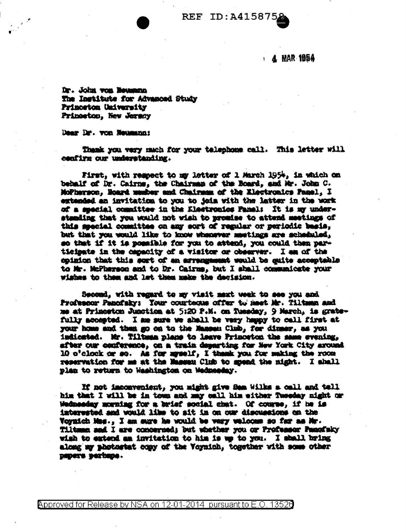

## REF ID:A415875

**A MAR 1954** 

Dr. John von Beumma The Institute for Advanced Study Princeton University Princeton, New Jersey

Dear Dr. von Neumann:

Thank you vary much for your telephone call. This letter will confirm our understanding.

First, with rempect to my letter of 1 March 1954, in which on behalf of Dr. Cairns, the Chairnan of the Board, and Mr. John C. MoPherson. Board musher and Chairman of the Klectronics Panel. I extended an invitation to you to join with the latter in the work of a smecial committee in the Electronics Panal: It is my understanding that you would not wish to promise to attend meetings of this seecial committee on any sort of regular or periodic basis. but that you would like to know whenever meetings are scheduled, so that if it is possible for you to attend. you could then participate in the capacity of a visitor or observer. I am of the coinicn that this sort of an arrangement would be quite acceptable to Mr. McFharson and to Dr. Cairms, but I shall communicate your wishes to them and let them make the decision.

Second, with regard to my visit maxt week to see you and Professor Panofaky: Tour courteous offer to meet Mr. Tiltman and me at Primostom Junction at 5:20 P.M. on Tuesday, 9 March, is gratefully accepted. I am sure we ahall be very happy to call first at your home and then go on to the Mansen Club, for dinmer, as you indicated. Mr. Tiltman plane to leave Princeton the same evening. after our conference, on a train departing for New York City around 10 o'clock or so. As for myself, I thank you for making the room reservation for me at the Massau Club to spend the night. I shall plan to return to Washington on Wednesday.

If not imconvenient, you might give Sam Wilks a call and tell him that I will be in town and may call him either Tuesday night or Wednesday morning for a brief social chat. Of course, if he is interested and would like to sit in on our discussions on the Voyaich Mas., I am mure he would be very veloome so far as Mr. Tiltman and I are concerned; but whether you or Professor Panciaky wish to extend am invitation to him is we to you. I shall bring along my photostat copy of the Voynich, together with some other DEDUCTS DESTREDS.

Approved for Release by NSA on 12-01-2014 pursuant to E.O. 13528